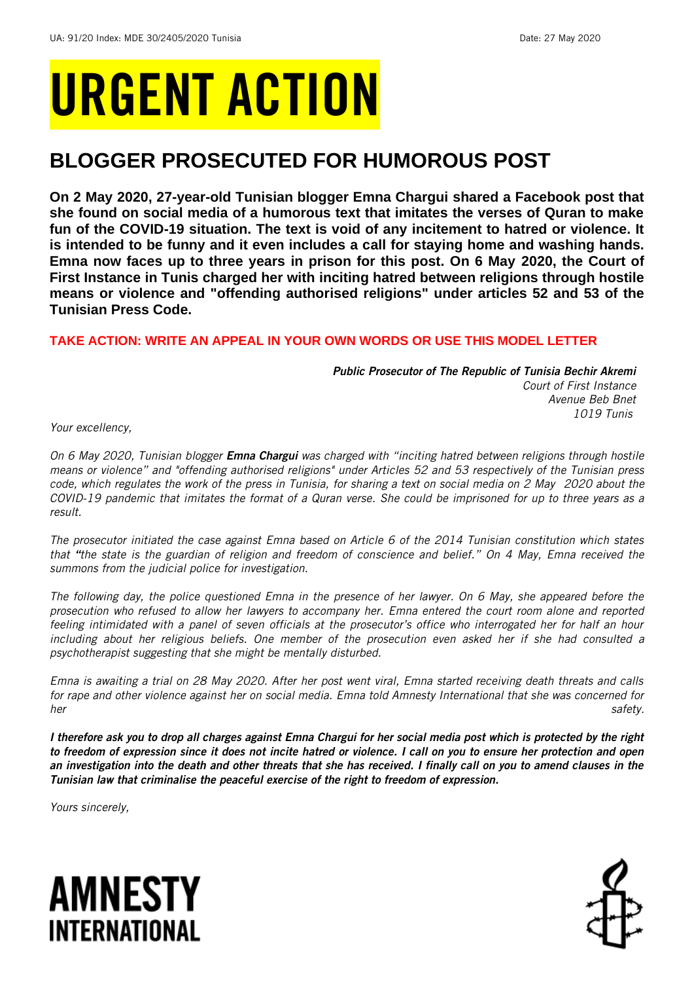# URGENT ACTION

## **BLOGGER PROSECUTED FOR HUMOROUS POST**

**On 2 May 2020, 27-year-old Tunisian blogger Emna Chargui shared a Facebook post that she found on social media of a humorous text that imitates the verses of Quran to make fun of the COVID-19 situation. The text is void of any incitement to hatred or violence. It is intended to be funny and it even includes a call for staying home and washing hands. Emna now faces up to three years in prison for this post. On 6 May 2020, the Court of First Instance in Tunis charged her with inciting hatred between religions through hostile means or violence and "offending authorised religions" under articles 52 and 53 of the Tunisian Press Code.** 

### **TAKE ACTION: WRITE AN APPEAL IN YOUR OWN WORDS OR USE THIS MODEL LETTER**

*Public Prosecutor of The Republic of Tunisia Bechir Akremi Court of First Instance Avenue Beb Bnet 1019 Tunis*

*Your excellency,* 

*On 6 May 2020, Tunisian blogger Emna Chargui was charged with "inciting hatred between religions through hostile means or violence" and "offending authorised religions" under Articles 52 and 53 respectively of the Tunisian press code, which regulates the work of the press in Tunisia, for sharing a text on social media on 2 May 2020 about the COVID-19 pandemic that imitates the format of a Quran verse. She could be imprisoned for up to three years as a result.* 

*The prosecutor initiated the case against Emna based on Article 6 of the 2014 Tunisian constitution which states that "the state is the guardian of religion and freedom of conscience and belief." On 4 May, Emna received the summons from the judicial police for investigation.* 

*The following day, the police questioned Emna in the presence of her lawyer. On 6 May, she appeared before the prosecution who refused to allow her lawyers to accompany her. Emna entered the court room alone and reported feeling intimidated with a panel of seven officials at the prosecutor's office who interrogated her for half an hour including about her religious beliefs. One member of the prosecution even asked her if she had consulted a psychotherapist suggesting that she might be mentally disturbed.*

*Emna is awaiting a trial on 28 May 2020. After her post went viral, Emna started receiving death threats and calls for rape and other violence against her on social media. Emna told Amnesty International that she was concerned for her safety.*

*I therefore ask you to drop all charges against Emna Chargui for her social media post which is protected by the right to freedom of expression since it does not incite hatred or violence. I call on you to ensure her protection and open an investigation into the death and other threats that she has received. I finally call on you to amend clauses in the Tunisian law that criminalise the peaceful exercise of the right to freedom of expression.* 

*Yours sincerely,*



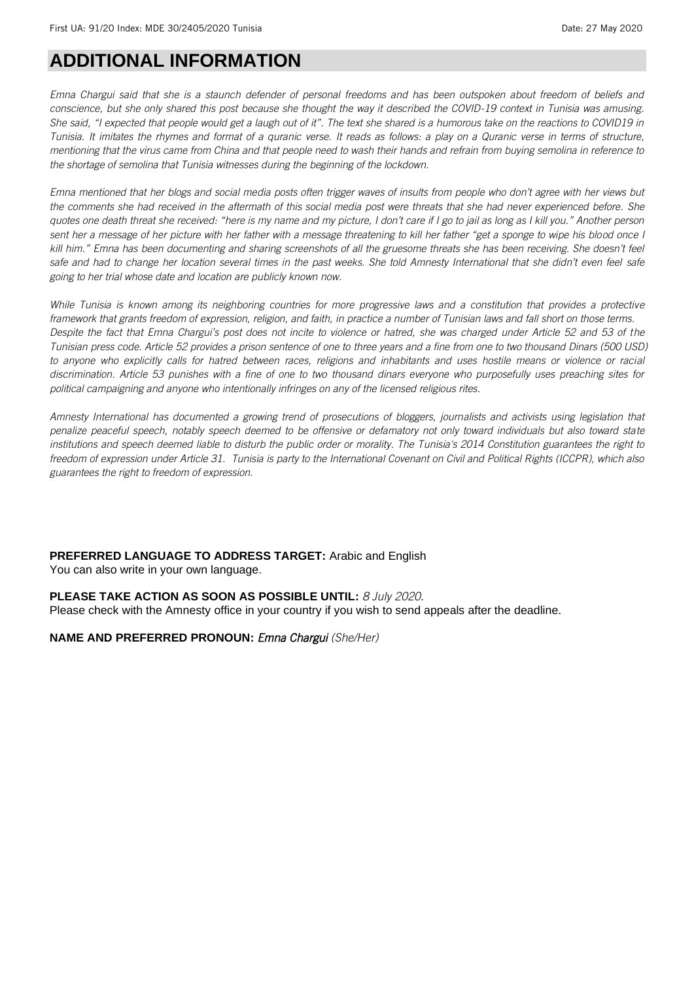## **ADDITIONAL INFORMATION**

*Emna Chargui said that she is a staunch defender of personal freedoms and has been outspoken about freedom of beliefs and conscience, but she only shared this post because she thought the way it described the COVID-19 context in Tunisia was amusing. She said, "I expected that people would get a laugh out of it". The text she shared is a humorous take on the reactions to COVID19 in Tunisia. It imitates the rhymes and format of a quranic verse. It reads as follows: a play on a Quranic verse in terms of structure, mentioning that the virus came from China and that people need to wash their hands and refrain from buying semolina in reference to the shortage of semolina that Tunisia witnesses during the beginning of the lockdown.* 

*Emna mentioned that her blogs and social media posts often trigger waves of insults from people who don't agree with her views but the comments she had received in the aftermath of this social media post were threats that she had never experienced before. She quotes one death threat she received: "here is my name and my picture, I don't care if I go to jail as long as I kill you." Another person sent her a message of her picture with her father with a message threatening to kill her father "get a sponge to wipe his blood once I kill him." Emna has been documenting and sharing screenshots of all the gruesome threats she has been receiving. She doesn't feel safe and had to change her location several times in the past weeks. She told Amnesty International that she didn't even feel safe going to her trial whose date and location are publicly known now.* 

*While Tunisia is known among its neighboring countries for more progressive laws and a constitution that provides a protective framework that grants freedom of expression, religion, and faith, in practice a number of Tunisian laws and fall short on those terms. Despite the fact that Emna Chargui's post does not incite to violence or hatred, she was charged under Article 52 and 53 of the Tunisian press code. Article 52 provides a prison sentence of one to three years and a fine from one to two thousand Dinars (500 USD) to anyone who explicitly calls for hatred between races, religions and inhabitants and uses hostile means or violence or racial discrimination. Article 53 punishes with a fine of one to two thousand dinars everyone who purposefully uses preaching sites for political campaigning and anyone who intentionally infringes on any of the licensed religious rites.*

*Amnesty International has documented a growing trend of prosecutions of bloggers, journalists and activists using legislation that penalize peaceful speech, notably speech deemed to be offensive or defamatory not only toward individuals but also toward state institutions and speech deemed liable to disturb the public order or morality. The Tunisia's 2014 Constitution guarantees the right to freedom of expression under Article 31. Tunisia is party to the International Covenant on Civil and Political Rights (ICCPR), which also guarantees the right to freedom of expression.*

**PREFERRED LANGUAGE TO ADDRESS TARGET:** Arabic and English You can also write in your own language.

#### **PLEASE TAKE ACTION AS SOON AS POSSIBLE UNTIL:** *8 July 2020*.

Please check with the Amnesty office in your country if you wish to send appeals after the deadline.

**NAME AND PREFERRED PRONOUN:** *Emna Chargui (She/Her)*